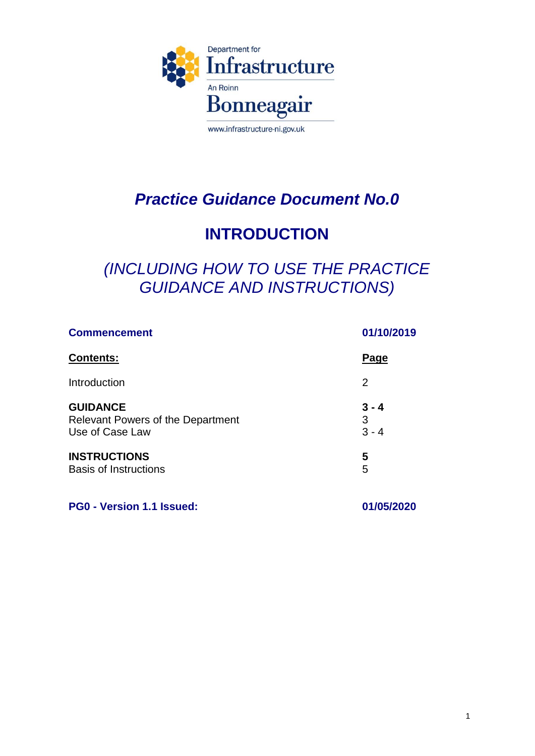

# *Practice Guidance Document No.0*

## **INTRODUCTION**

### *(INCLUDING HOW TO USE THE PRACTICE GUIDANCE AND INSTRUCTIONS)*

| <b>Commencement</b><br><b>Contents:</b>  | 01/10/2019<br>Page |
|------------------------------------------|--------------------|
|                                          |                    |
| <b>GUIDANCE</b>                          | $3 - 4$            |
| <b>Relevant Powers of the Department</b> | 3                  |
| Use of Case Law                          | $3 - 4$            |
| <b>INSTRUCTIONS</b>                      | 5                  |
| <b>Basis of Instructions</b>             | 5                  |

**PG0 - Version 1.1 Issued: 01/05/2020**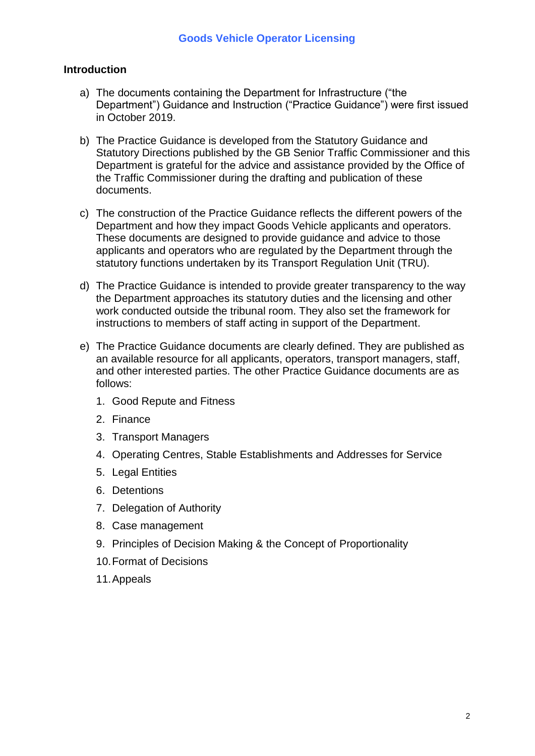### **Introduction**

- a) The documents containing the Department for Infrastructure ("the Department") Guidance and Instruction ("Practice Guidance") were first issued in October 2019.
- b) The Practice Guidance is developed from the Statutory Guidance and Statutory Directions published by the GB Senior Traffic Commissioner and this Department is grateful for the advice and assistance provided by the Office of the Traffic Commissioner during the drafting and publication of these documents.
- c) The construction of the Practice Guidance reflects the different powers of the Department and how they impact Goods Vehicle applicants and operators. These documents are designed to provide guidance and advice to those applicants and operators who are regulated by the Department through the statutory functions undertaken by its Transport Regulation Unit (TRU).
- d) The Practice Guidance is intended to provide greater transparency to the way the Department approaches its statutory duties and the licensing and other work conducted outside the tribunal room. They also set the framework for instructions to members of staff acting in support of the Department.
- e) The Practice Guidance documents are clearly defined. They are published as an available resource for all applicants, operators, transport managers, staff, and other interested parties. The other Practice Guidance documents are as follows:
	- 1. Good Repute and Fitness
	- 2. Finance
	- 3. Transport Managers
	- 4. Operating Centres, Stable Establishments and Addresses for Service
	- 5. Legal Entities
	- 6. Detentions
	- 7. Delegation of Authority
	- 8. Case management
	- 9. Principles of Decision Making & the Concept of Proportionality
	- 10.Format of Decisions
	- 11.Appeals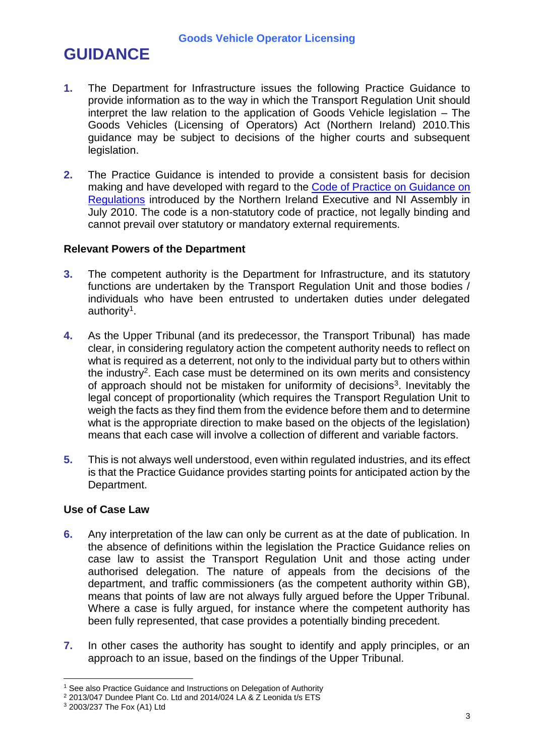# **GUIDANCE**

- **1.** The Department for Infrastructure issues the following Practice Guidance to provide information as to the way in which the Transport Regulation Unit should interpret the law relation to the application of Goods Vehicle legislation – The Goods Vehicles (Licensing of Operators) Act (Northern Ireland) 2010.This guidance may be subject to decisions of the higher courts and subsequent legislation.
- **2.** The Practice Guidance is intended to provide a consistent basis for decision making and have developed with regard to the [Code of Practice on Guidance on](https://www.economy-ni.gov.uk/sites/default/files/publications/deti/code-of-practice-on-guidance-on-regulations-for-ni-departments-and-delivery-partners-july-2010.pdf)  [Regulations](https://www.economy-ni.gov.uk/sites/default/files/publications/deti/code-of-practice-on-guidance-on-regulations-for-ni-departments-and-delivery-partners-july-2010.pdf) introduced by the Northern Ireland Executive and NI Assembly in July 2010. The code is a non-statutory code of practice, not legally binding and cannot prevail over statutory or mandatory external requirements.

#### **Relevant Powers of the Department**

- **3.** The competent authority is the Department for Infrastructure, and its statutory functions are undertaken by the Transport Regulation Unit and those bodies / individuals who have been entrusted to undertaken duties under delegated authority<sup>1</sup>.
- **4.** As the Upper Tribunal (and its predecessor, the Transport Tribunal) has made clear, in considering regulatory action the competent authority needs to reflect on what is required as a deterrent, not only to the individual party but to others within the industry<sup>2</sup>. Each case must be determined on its own merits and consistency of approach should not be mistaken for uniformity of decisions<sup>3</sup>. Inevitably the legal concept of proportionality (which requires the Transport Regulation Unit to weigh the facts as they find them from the evidence before them and to determine what is the appropriate direction to make based on the objects of the legislation) means that each case will involve a collection of different and variable factors.
- **5.** This is not always well understood, even within regulated industries, and its effect is that the Practice Guidance provides starting points for anticipated action by the Department.

#### **Use of Case Law**

- **6.** Any interpretation of the law can only be current as at the date of publication. In the absence of definitions within the legislation the Practice Guidance relies on case law to assist the Transport Regulation Unit and those acting under authorised delegation. The nature of appeals from the decisions of the department, and traffic commissioners (as the competent authority within GB), means that points of law are not always fully argued before the Upper Tribunal. Where a case is fully argued, for instance where the competent authority has been fully represented, that case provides a potentially binding precedent.
- **7.** In other cases the authority has sought to identify and apply principles, or an approach to an issue, based on the findings of the Upper Tribunal.

 $\overline{a}$ <sup>1</sup> See also Practice Guidance and Instructions on Delegation of Authority

 $2$  2013/047 Dundee Plant Co. Ltd and 2014/024 LA &  $\check{\mathsf{Z}}$  Leonida t/s ETS

<sup>3</sup> 2003/237 The Fox (A1) Ltd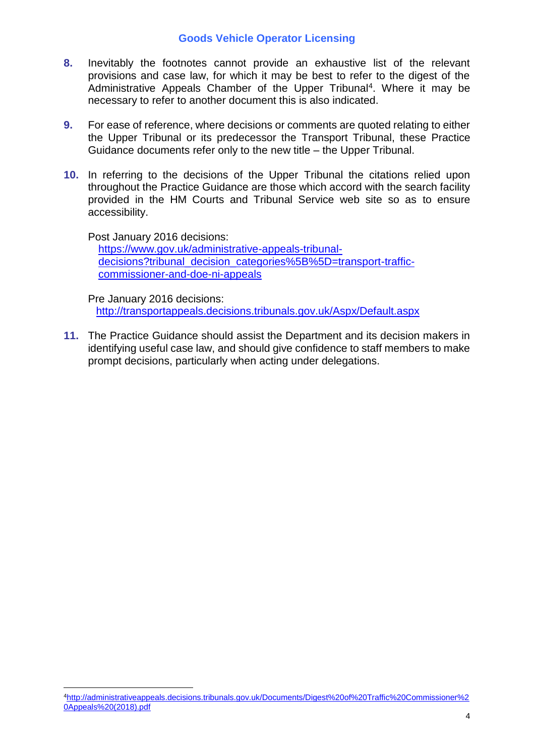#### **Goods Vehicle Operator Licensing**

- **8.** Inevitably the footnotes cannot provide an exhaustive list of the relevant provisions and case law, for which it may be best to refer to the digest of the Administrative Appeals Chamber of the Upper Tribunal<sup>4</sup>. Where it may be necessary to refer to another document this is also indicated.
- **9.** For ease of reference, where decisions or comments are quoted relating to either the Upper Tribunal or its predecessor the Transport Tribunal, these Practice Guidance documents refer only to the new title – the Upper Tribunal.
- **10.** In referring to the decisions of the Upper Tribunal the citations relied upon throughout the Practice Guidance are those which accord with the search facility provided in the HM Courts and Tribunal Service web site so as to ensure accessibility.

Post January 2016 decisions:

 $\overline{a}$ 

[https://www.gov.uk/administrative-appeals-tribunal](https://www.gov.uk/administrative-appeals-tribunal-decisions?tribunal_decision_categories%5B%5D=transport-traffic-commissioner-and-doe-ni-appeals)[decisions?tribunal\\_decision\\_categories%5B%5D=transport-traffic](https://www.gov.uk/administrative-appeals-tribunal-decisions?tribunal_decision_categories%5B%5D=transport-traffic-commissioner-and-doe-ni-appeals)[commissioner-and-doe-ni-appeals](https://www.gov.uk/administrative-appeals-tribunal-decisions?tribunal_decision_categories%5B%5D=transport-traffic-commissioner-and-doe-ni-appeals)

Pre January 2016 decisions: <http://transportappeals.decisions.tribunals.gov.uk/Aspx/Default.aspx>

**11.** The Practice Guidance should assist the Department and its decision makers in identifying useful case law, and should give confidence to staff members to make prompt decisions, particularly when acting under delegations.

<sup>4</sup>[http://administrativeappeals.decisions.tribunals.gov.uk/Documents/Digest%20of%20Traffic%20Commissioner%2](http://administrativeappeals.decisions.tribunals.gov.uk/Documents/Digest%20of%20Traffic%20Commissioner%20Appeals%20(2018).pdf) [0Appeals%20\(2018\).pdf](http://administrativeappeals.decisions.tribunals.gov.uk/Documents/Digest%20of%20Traffic%20Commissioner%20Appeals%20(2018).pdf)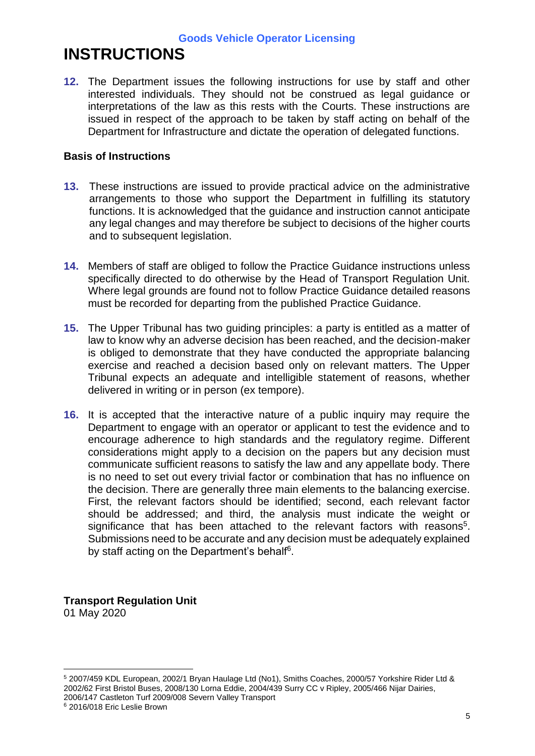**Goods Vehicle Operator Licensing**

## **INSTRUCTIONS**

**12.** The Department issues the following instructions for use by staff and other interested individuals. They should not be construed as legal guidance or interpretations of the law as this rests with the Courts. These instructions are issued in respect of the approach to be taken by staff acting on behalf of the Department for Infrastructure and dictate the operation of delegated functions.

### **Basis of Instructions**

- **13.** These instructions are issued to provide practical advice on the administrative arrangements to those who support the Department in fulfilling its statutory functions. It is acknowledged that the guidance and instruction cannot anticipate any legal changes and may therefore be subject to decisions of the higher courts and to subsequent legislation.
- **14.** Members of staff are obliged to follow the Practice Guidance instructions unless specifically directed to do otherwise by the Head of Transport Regulation Unit. Where legal grounds are found not to follow Practice Guidance detailed reasons must be recorded for departing from the published Practice Guidance.
- **15.** The Upper Tribunal has two guiding principles: a party is entitled as a matter of law to know why an adverse decision has been reached, and the decision-maker is obliged to demonstrate that they have conducted the appropriate balancing exercise and reached a decision based only on relevant matters. The Upper Tribunal expects an adequate and intelligible statement of reasons, whether delivered in writing or in person (ex tempore).
- **16.** It is accepted that the interactive nature of a public inquiry may require the Department to engage with an operator or applicant to test the evidence and to encourage adherence to high standards and the regulatory regime. Different considerations might apply to a decision on the papers but any decision must communicate sufficient reasons to satisfy the law and any appellate body. There is no need to set out every trivial factor or combination that has no influence on the decision. There are generally three main elements to the balancing exercise. First, the relevant factors should be identified; second, each relevant factor should be addressed; and third, the analysis must indicate the weight or significance that has been attached to the relevant factors with reasons<sup>5</sup>. Submissions need to be accurate and any decision must be adequately explained by staff acting on the Department's behalf<sup>6</sup>.

**Transport Regulation Unit** 01 May 2020

 $\overline{a}$ <sup>5</sup> 2007/459 KDL European, 2002/1 Bryan Haulage Ltd (No1), Smiths Coaches, 2000/57 Yorkshire Rider Ltd & 2002/62 First Bristol Buses, 2008/130 Lorna Eddie, 2004/439 Surry CC v Ripley, 2005/466 Nijar Dairies, 2006/147 Castleton Turf 2009/008 Severn Valley Transport <sup>6</sup> 2016/018 Eric Leslie Brown